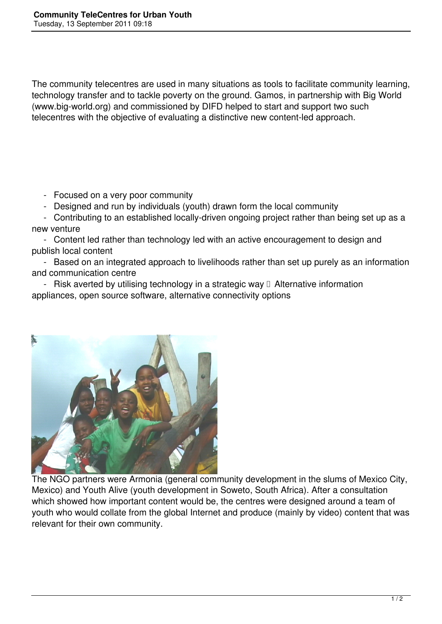The community telecentres are used in many situations as tools to facilitate community learning, technology transfer and to tackle poverty on the ground. Gamos, in partnership with Big World (www.big-world.org) and commissioned by DIFD helped to start and support two such telecentres with the objective of evaluating a distinctive new content-led approach.

- Focused on a very poor community

- Designed and run by individuals (youth) drawn form the local community

 - Contributing to an established locally-driven ongoing project rather than being set up as a new venture

 - Content led rather than technology led with an active encouragement to design and publish local content

 - Based on an integrated approach to livelihoods rather than set up purely as an information and communication centre

- Risk averted by utilising technology in a strategic way  $\Box$  Alternative information appliances, open source software, alternative connectivity options



The NGO partners were Armonia (general community development in the slums of Mexico City, Mexico) and Youth Alive (youth development in Soweto, South Africa). After a consultation which showed how important content would be, the centres were designed around a team of youth who would collate from the global Internet and produce (mainly by video) content that was relevant for their own community.